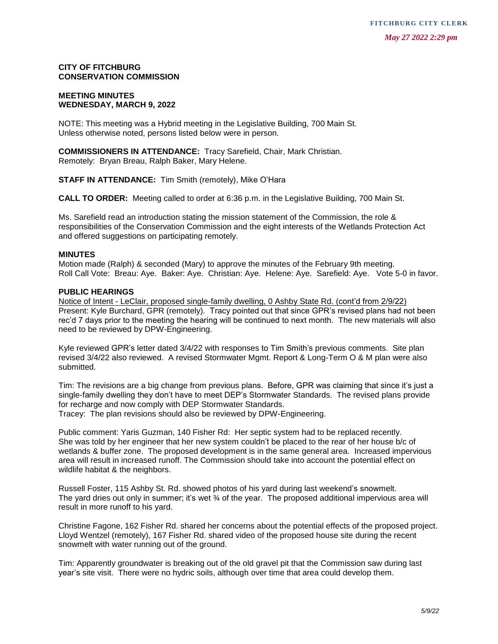### **CITY OF FITCHBURG CONSERVATION COMMISSION**

### **MEETING MINUTES WEDNESDAY, MARCH 9, 2022**

NOTE: This meeting was a Hybrid meeting in the Legislative Building, 700 Main St. Unless otherwise noted, persons listed below were in person.

**COMMISSIONERS IN ATTENDANCE:** Tracy Sarefield, Chair, Mark Christian. Remotely: Bryan Breau, Ralph Baker, Mary Helene.

**STAFF IN ATTENDANCE:** Tim Smith (remotely), Mike O'Hara

**CALL TO ORDER:** Meeting called to order at 6:36 p.m. in the Legislative Building, 700 Main St.

Ms. Sarefield read an introduction stating the mission statement of the Commission, the role & responsibilities of the Conservation Commission and the eight interests of the Wetlands Protection Act and offered suggestions on participating remotely.

### **MINUTES**

Motion made (Ralph) & seconded (Mary) to approve the minutes of the February 9th meeting. Roll Call Vote: Breau: Aye. Baker: Aye. Christian: Aye. Helene: Aye. Sarefield: Aye. Vote 5-0 in favor.

### **PUBLIC HEARINGS**

Notice of Intent - LeClair, proposed single-family dwelling, 0 Ashby State Rd. (cont'd from 2/9/22) Present: Kyle Burchard, GPR (remotely). Tracy pointed out that since GPR's revised plans had not been rec'd 7 days prior to the meeting the hearing will be continued to next month. The new materials will also need to be reviewed by DPW-Engineering.

Kyle reviewed GPR's letter dated 3/4/22 with responses to Tim Smith's previous comments. Site plan revised 3/4/22 also reviewed. A revised Stormwater Mgmt. Report & Long-Term O & M plan were also submitted.

Tim: The revisions are a big change from previous plans. Before, GPR was claiming that since it's just a single-family dwelling they don't have to meet DEP's Stormwater Standards. The revised plans provide for recharge and now comply with DEP Stormwater Standards.

Tracey: The plan revisions should also be reviewed by DPW-Engineering.

Public comment: Yaris Guzman, 140 Fisher Rd: Her septic system had to be replaced recently. She was told by her engineer that her new system couldn't be placed to the rear of her house b/c of wetlands & buffer zone. The proposed development is in the same general area. Increased impervious area will result in increased runoff. The Commission should take into account the potential effect on wildlife habitat & the neighbors. year of **FITCHBURG**<br> **YEAR CONTENT/MONE COMMISSION**<br>
WEET The meeting was at fighted meeting in the Logislative Building, 700 Main St.<br>
WEET The meeting was at fighted meeting in the Logislative Building, 700 Main St.<br>
WEE

Russell Foster, 115 Ashby St. Rd. showed photos of his yard during last weekend's snowmelt. The yard dries out only in summer; it's wet ¾ of the year. The proposed additional impervious area will result in more runoff to his yard.

Christine Fagone, 162 Fisher Rd. shared her concerns about the potential effects of the proposed project. Lloyd Wentzel (remotely), 167 Fisher Rd. shared video of the proposed house site during the recent snowmelt with water running out of the ground.

Tim: Apparently groundwater is breaking out of the old gravel pit that the Commission saw during last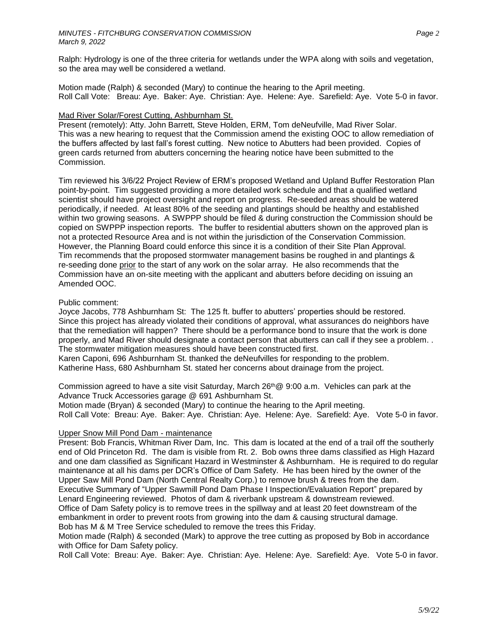Ralph: Hydrology is one of the three criteria for wetlands under the WPA along with soils and vegetation, so the area may well be considered a wetland.

Motion made (Ralph) & seconded (Mary) to continue the hearing to the April meeting. Roll Call Vote: Breau: Aye. Baker: Aye. Christian: Aye. Helene: Aye. Sarefield: Aye. Vote 5-0 in favor.

## Mad River Solar/Forest Cutting, Ashburnham St.

Present (remotely): Atty. John Barrett, Steve Holden, ERM, Tom deNeufville, Mad River Solar. This was a new hearing to request that the Commission amend the existing OOC to allow remediation of the buffers affected by last fall's forest cutting. New notice to Abutters had been provided. Copies of green cards returned from abutters concerning the hearing notice have been submitted to the Commission.

Tim reviewed his 3/6/22 Project Review of ERM's proposed Wetland and Upland Buffer Restoration Plan point-by-point. Tim suggested providing a more detailed work schedule and that a qualified wetland scientist should have project oversight and report on progress. Re-seeded areas should be watered periodically, if needed. At least 80% of the seeding and plantings should be healthy and established within two growing seasons. A SWPPP should be filed & during construction the Commission should be copied on SWPPP inspection reports. The buffer to residential abutters shown on the approved plan is not a protected Resource Area and is not within the jurisdiction of the Conservation Commission. However, the Planning Board could enforce this since it is a condition of their Site Plan Approval. Tim recommends that the proposed stormwater management basins be roughed in and plantings & re-seeding done prior to the start of any work on the solar array. He also recommends that the Commission have an on-site meeting with the applicant and abutters before deciding on issuing an Amended OOC.

## Public comment:

Joyce Jacobs, 778 Ashburnham St: The 125 ft. buffer to abutters' properties should be restored. Since this project has already violated their conditions of approval, what assurances do neighbors have that the remediation will happen? There should be a performance bond to insure that the work is done properly, and Mad River should designate a contact person that abutters can call if they see a problem. . The stormwater mitigation measures should have been constructed first.

Karen Caponi, 696 Ashburnham St. thanked the deNeufvilles for responding to the problem. Katherine Hass, 680 Ashburnham St. stated her concerns about drainage from the project.

Commission agreed to have a site visit Saturday, March  $26<sup>th</sup>@ 9:00$  a.m. Vehicles can park at the Advance Truck Accessories garage @ 691 Ashburnham St. Motion made (Bryan) & seconded (Mary) to continue the hearing to the April meeting.

Roll Call Vote: Breau: Aye. Baker: Aye. Christian: Aye. Helene: Aye. Sarefield: Aye. Vote 5-0 in favor.

# Upper Snow Mill Pond Dam - maintenance

Present: Bob Francis, Whitman River Dam*,* Inc. This dam is located at the end of a trail off the southerly end of Old Princeton Rd. The dam is visible from Rt. 2. Bob owns three dams classified as High Hazard and one dam classified as Significant Hazard in Westminster & Ashburnham. He is required to do regular maintenance at all his dams per DCR's Office of Dam Safety. He has been hired by the owner of the Upper Saw Mill Pond Dam (North Central Realty Corp.) to remove brush & trees from the dam. Executive Summary of "Upper Sawmill Pond Dam Phase I Inspection/Evaluation Report" prepared by Lenard Engineering reviewed. Photos of dam & riverbank upstream & downstream reviewed. Office of Dam Safety policy is to remove trees in the spillway and at least 20 feet downstream of the embankment in order to prevent roots from growing into the dam & causing structural damage. Bob has M & M Tree Service scheduled to remove the trees this Friday.

Motion made (Ralph) & seconded (Mark) to approve the tree cutting as proposed by Bob in accordance with Office for Dam Safety policy.

Roll Call Vote: Breau: Aye. Baker: Aye. Christian: Aye. Helene: Aye. Sarefield: Aye. Vote 5-0 in favor.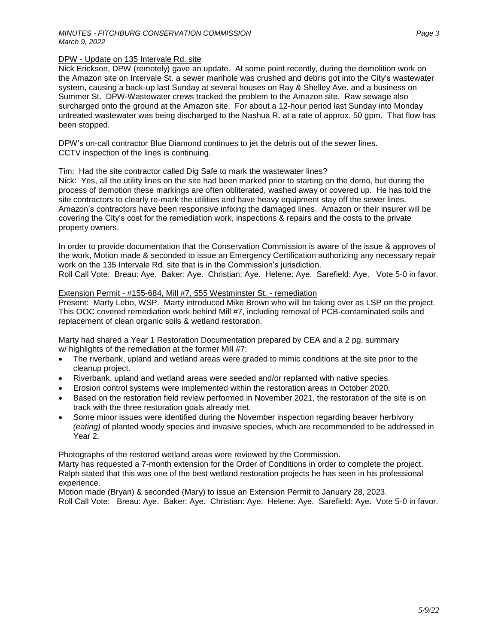### DPW - Update on 135 Intervale Rd. site

Nick Erickson, DPW (remotely) gave an update. At some point recently, during the demolition work on the Amazon site on Intervale St. a sewer manhole was crushed and debris got into the City's wastewater system, causing a back-up last Sunday at several houses on Ray & Shelley Ave. and a business on Summer St. DPW-Wastewater crews tracked the problem to the Amazon site. Raw sewage also surcharged onto the ground at the Amazon site. For about a 12-hour period last Sunday into Monday untreated wastewater was being discharged to the Nashua R. at a rate of approx. 50 gpm. That flow has been stopped.

DPW's on-call contractor Blue Diamond continues to jet the debris out of the sewer lines. CCTV inspection of the lines is continuing.

### Tim: Had the site contractor called Dig Safe to mark the wastewater lines?

Nick: Yes, all the utility lines on the site had been marked prior to starting on the demo, but during the process of demotion these markings are often obliterated, washed away or covered up. He has told the site contractors to clearly re-mark the utilities and have heavy equipment stay off the sewer lines. Amazon's contractors have been responsive infixing the damaged lines. Amazon or their insurer will be covering the City's cost for the remediation work, inspections & repairs and the costs to the private property owners.

In order to provide documentation that the Conservation Commission is aware of the issue & approves of the work, Motion made & seconded to issue an Emergency Certification authorizing any necessary repair work on the 135 Intervale Rd. site that is in the Commission's jurisdiction. Roll Call Vote: Breau: Aye. Baker: Aye. Christian: Aye. Helene: Aye. Sarefield: Aye. Vote 5-0 in favor.

#### Extension Permit - #155-684, Mill #7, 555 Westminster St. - remediation

Present: Marty Lebo, WSP. Marty introduced Mike Brown who will be taking over as LSP on the project. This OOC covered remediation work behind Mill #7, including removal of PCB-contaminated soils and replacement of clean organic soils & wetland restoration.

Marty had shared a Year 1 Restoration Documentation prepared by CEA and a 2 pg. summary w/ highlights of the remediation at the former Mill #7:

- The riverbank, upland and wetland areas were graded to mimic conditions at the site prior to the cleanup project.
- Riverbank, upland and wetland areas were seeded and/or replanted with native species.
- Erosion control systems were implemented within the restoration areas in October 2020.
- Based on the restoration field review performed in November 2021, the restoration of the site is on track with the three restoration goals already met.
- Some minor issues were identified during the November inspection regarding beaver herbivory *(eating)* of planted woody species and invasive species, which are recommended to be addressed in Year 2.

Photographs of the restored wetland areas were reviewed by the Commission.

Marty has requested a 7-month extension for the Order of Conditions in order to complete the project. Ralph stated that this was one of the best wetland restoration projects he has seen in his professional experience.

Motion made (Bryan) & seconded (Mary) to issue an Extension Permit to January 28, 2023. Roll Call Vote: Breau: Aye. Baker: Aye. Christian: Aye. Helene: Aye. Sarefield: Aye. Vote 5-0 in favor.